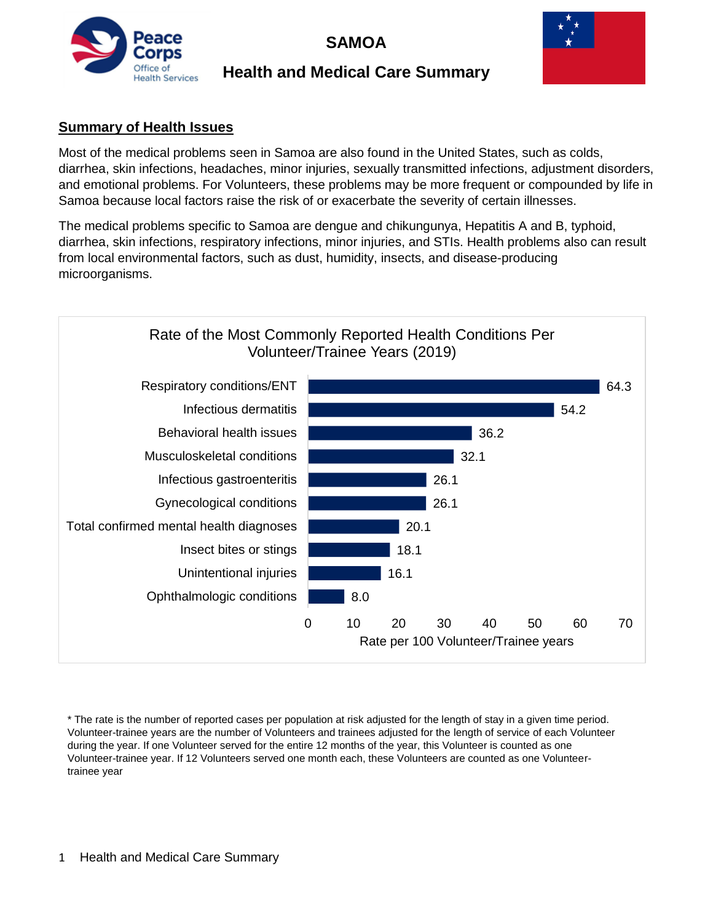

# **SAMOA**

## **Health and Medical Care Summary**



#### **Summary of Health Issues**

Most of the medical problems seen in Samoa are also found in the United States, such as colds, diarrhea, skin infections, headaches, minor injuries, sexually transmitted infections, adjustment disorders, and emotional problems. For Volunteers, these problems may be more frequent or compounded by life in Samoa because local factors raise the risk of or exacerbate the severity of certain illnesses.

The medical problems specific to Samoa are dengue and chikungunya, Hepatitis A and B, typhoid, diarrhea, skin infections, respiratory infections, minor injuries, and STIs. Health problems also can result from local environmental factors, such as dust, humidity, insects, and disease-producing microorganisms.



\* The rate is the number of reported cases per population at risk adjusted for the length of stay in a given time period. Volunteer-trainee years are the number of Volunteers and trainees adjusted for the length of service of each Volunteer during the year. If one Volunteer served for the entire 12 months of the year, this Volunteer is counted as one Volunteer-trainee year. If 12 Volunteers served one month each, these Volunteers are counted as one Volunteertrainee year